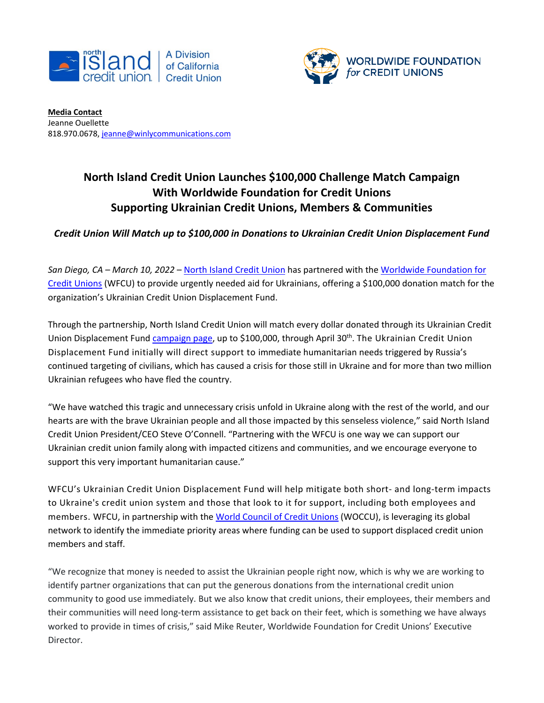



**Media Contact** Jeanne Ouellette 818.970.0678[, jeanne@winlycommunications.com](mailto:jeanne@winlycommunications.com)

## **North Island Credit Union Launches \$100,000 Challenge Match Campaign With Worldwide Foundation for Credit Unions Supporting Ukrainian Credit Unions, Members & Communities**

## *Credit Union Will Match up to \$100,000 in Donations to Ukrainian Credit Union Displacement Fund*

*San Diego, CA – March 10, 2022* – North Island [Credit Union](http://www.northisland.ccu.com/) has partnered with the [Worldwide Foundation for](https://www.doglobalgood.org/)  [Credit Unions](https://www.doglobalgood.org/) (WFCU) to provide urgently needed aid for Ukrainians, offering a \$100,000 donation match for the organization's Ukrainian Credit Union Displacement Fund.

Through the partnership, North Island Credit Union will match every dollar donated through its Ukrainian Credit Union Displacement Fund [campaign page,](https://secure.givelively.org/donate/worldwide-foundation-for-credit-unions-inc/ukraine-cu-displacement-fund/tina-lopez-1) up to \$100,000, through April 30<sup>th</sup>. The Ukrainian Credit Union Displacement Fund initially will direct support to immediate humanitarian needs triggered by Russia's continued targeting of civilians, which has caused a crisis for those still in Ukraine and for more than two million Ukrainian refugees who have fled the country.

"We have watched this tragic and unnecessary crisis unfold in Ukraine along with the rest of the world, and our hearts are with the brave Ukrainian people and all those impacted by this senseless violence," said North Island Credit Union President/CEO Steve O'Connell. "Partnering with the WFCU is one way we can support our Ukrainian credit union family along with impacted citizens and communities, and we encourage everyone to support this very important humanitarian cause."

WFCU's Ukrainian Credit Union Displacement Fund will help mitigate both short- and long-term impacts to Ukraine's credit union system and those that look to it for support, including both employees and members. WFCU, in partnership with the [World Council of Credit Unions](http://www.woccu.org/) (WOCCU), is leveraging its global network to identify the immediate priority areas where funding can be used to support displaced credit union members and staff.

"We recognize that money is needed to assist the Ukrainian people right now, which is why we are working to identify partner organizations that can put the generous donations from the international credit union community to good use immediately. But we also know that credit unions, their employees, their members and their communities will need long-term assistance to get back on their feet, which is something we have always worked to provide in times of crisis," said Mike Reuter, Worldwide Foundation for Credit Unions' Executive Director.